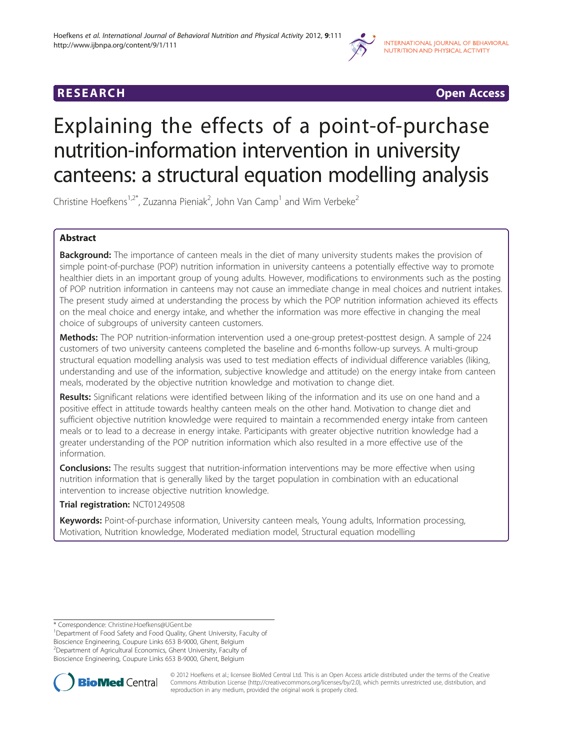

**RESEARCH RESEARCH CONSUMING ACCESS** 

# Explaining the effects of a point-of-purchase nutrition-information intervention in university canteens: a structural equation modelling analysis

Christine Hoefkens<sup>1,2\*</sup>, Zuzanna Pieniak<sup>2</sup>, John Van Camp<sup>1</sup> and Wim Verbeke<sup>2</sup>

# Abstract

Background: The importance of canteen meals in the diet of many university students makes the provision of simple point-of-purchase (POP) nutrition information in university canteens a potentially effective way to promote healthier diets in an important group of young adults. However, modifications to environments such as the posting of POP nutrition information in canteens may not cause an immediate change in meal choices and nutrient intakes. The present study aimed at understanding the process by which the POP nutrition information achieved its effects on the meal choice and energy intake, and whether the information was more effective in changing the meal choice of subgroups of university canteen customers.

Methods: The POP nutrition-information intervention used a one-group pretest-posttest design. A sample of 224 customers of two university canteens completed the baseline and 6-months follow-up surveys. A multi-group structural equation modelling analysis was used to test mediation effects of individual difference variables (liking, understanding and use of the information, subjective knowledge and attitude) on the energy intake from canteen meals, moderated by the objective nutrition knowledge and motivation to change diet.

Results: Significant relations were identified between liking of the information and its use on one hand and a positive effect in attitude towards healthy canteen meals on the other hand. Motivation to change diet and sufficient objective nutrition knowledge were required to maintain a recommended energy intake from canteen meals or to lead to a decrease in energy intake. Participants with greater objective nutrition knowledge had a greater understanding of the POP nutrition information which also resulted in a more effective use of the information.

**Conclusions:** The results suggest that nutrition-information interventions may be more effective when using nutrition information that is generally liked by the target population in combination with an educational intervention to increase objective nutrition knowledge.

Trial registration: NCT01249508

Keywords: Point-of-purchase information, University canteen meals, Young adults, Information processing, Motivation, Nutrition knowledge, Moderated mediation model, Structural equation modelling

\* Correspondence: [Christine.Hoefkens@UGent.be](mailto:Christine.Hoefkens@UGent.be) <sup>1</sup>

Department of Food Safety and Food Quality, Ghent University, Faculty of Bioscience Engineering, Coupure Links 653 B-9000, Ghent, Belgium 2 Department of Agricultural Economics, Ghent University, Faculty of Bioscience Engineering, Coupure Links 653 B-9000, Ghent, Belgium



© 2012 Hoefkens et al.; licensee BioMed Central Ltd. This is an Open Access article distributed under the terms of the Creative Commons Attribution License [\(http://creativecommons.org/licenses/by/2.0\)](http://creativecommons.org/licenses/by/2.0), which permits unrestricted use, distribution, and reproduction in any medium, provided the original work is properly cited.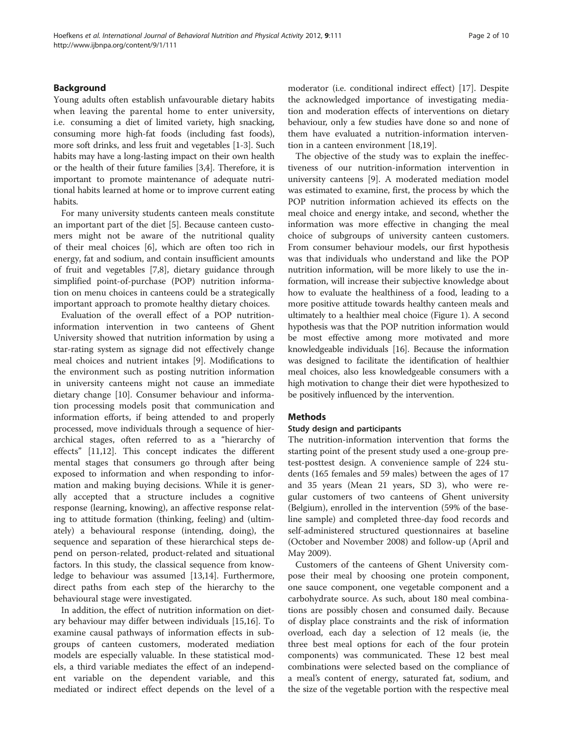# Background

Young adults often establish unfavourable dietary habits when leaving the parental home to enter university, i.e. consuming a diet of limited variety, high snacking, consuming more high-fat foods (including fast foods), more soft drinks, and less fruit and vegetables [\[1](#page-8-0)-[3](#page-8-0)]. Such habits may have a long-lasting impact on their own health or the health of their future families [\[3,4](#page-8-0)]. Therefore, it is important to promote maintenance of adequate nutritional habits learned at home or to improve current eating habits.

For many university students canteen meals constitute an important part of the diet [[5](#page-8-0)]. Because canteen customers might not be aware of the nutritional quality of their meal choices [[6\]](#page-8-0), which are often too rich in energy, fat and sodium, and contain insufficient amounts of fruit and vegetables [[7,8\]](#page-8-0), dietary guidance through simplified point-of-purchase (POP) nutrition information on menu choices in canteens could be a strategically important approach to promote healthy dietary choices.

Evaluation of the overall effect of a POP nutritioninformation intervention in two canteens of Ghent University showed that nutrition information by using a star-rating system as signage did not effectively change meal choices and nutrient intakes [\[9](#page-8-0)]. Modifications to the environment such as posting nutrition information in university canteens might not cause an immediate dietary change [[10\]](#page-8-0). Consumer behaviour and information processing models posit that communication and information efforts, if being attended to and properly processed, move individuals through a sequence of hierarchical stages, often referred to as a "hierarchy of effects" [\[11,12\]](#page-8-0). This concept indicates the different mental stages that consumers go through after being exposed to information and when responding to information and making buying decisions. While it is generally accepted that a structure includes a cognitive response (learning, knowing), an affective response relating to attitude formation (thinking, feeling) and (ultimately) a behavioural response (intending, doing), the sequence and separation of these hierarchical steps depend on person-related, product-related and situational factors. In this study, the classical sequence from knowledge to behaviour was assumed [\[13,14](#page-8-0)]. Furthermore, direct paths from each step of the hierarchy to the behavioural stage were investigated.

In addition, the effect of nutrition information on dietary behaviour may differ between individuals [[15](#page-8-0),[16](#page-8-0)]. To examine causal pathways of information effects in subgroups of canteen customers, moderated mediation models are especially valuable. In these statistical models, a third variable mediates the effect of an independent variable on the dependent variable, and this mediated or indirect effect depends on the level of a moderator (i.e. conditional indirect effect) [[17](#page-8-0)]. Despite the acknowledged importance of investigating mediation and moderation effects of interventions on dietary behaviour, only a few studies have done so and none of them have evaluated a nutrition-information intervention in a canteen environment [\[18,19\]](#page-8-0).

The objective of the study was to explain the ineffectiveness of our nutrition-information intervention in university canteens [\[9](#page-8-0)]. A moderated mediation model was estimated to examine, first, the process by which the POP nutrition information achieved its effects on the meal choice and energy intake, and second, whether the information was more effective in changing the meal choice of subgroups of university canteen customers. From consumer behaviour models, our first hypothesis was that individuals who understand and like the POP nutrition information, will be more likely to use the information, will increase their subjective knowledge about how to evaluate the healthiness of a food, leading to a more positive attitude towards healthy canteen meals and ultimately to a healthier meal choice (Figure [1](#page-2-0)). A second hypothesis was that the POP nutrition information would be most effective among more motivated and more knowledgeable individuals [\[16](#page-8-0)]. Because the information was designed to facilitate the identification of healthier meal choices, also less knowledgeable consumers with a high motivation to change their diet were hypothesized to be positively influenced by the intervention.

# Methods

# Study design and participants

The nutrition-information intervention that forms the starting point of the present study used a one-group pretest-posttest design. A convenience sample of 224 students (165 females and 59 males) between the ages of 17 and 35 years (Mean 21 years, SD 3), who were regular customers of two canteens of Ghent university (Belgium), enrolled in the intervention (59% of the baseline sample) and completed three-day food records and self-administered structured questionnaires at baseline (October and November 2008) and follow-up (April and May 2009).

Customers of the canteens of Ghent University compose their meal by choosing one protein component, one sauce component, one vegetable component and a carbohydrate source. As such, about 180 meal combinations are possibly chosen and consumed daily. Because of display place constraints and the risk of information overload, each day a selection of 12 meals (ie, the three best meal options for each of the four protein components) was communicated. These 12 best meal combinations were selected based on the compliance of a meal's content of energy, saturated fat, sodium, and the size of the vegetable portion with the respective meal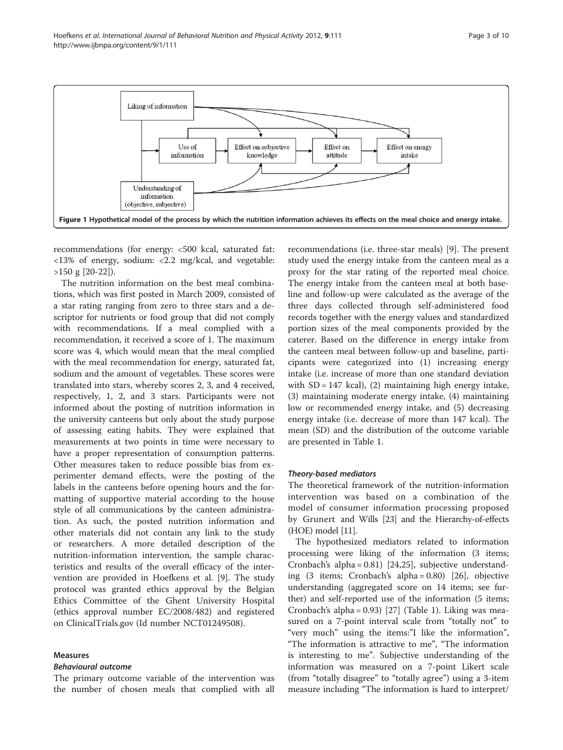<span id="page-2-0"></span>

Figure 1 Hypothetical model of the process by which the nutrition information achieves its effects on the meal choice and energy intake.

recommendations (for energy: <500 kcal, saturated fat: <13% of energy, sodium: <2.2 mg/kcal, and vegetable: >150 g [\[20](#page-8-0)-[22\]](#page-8-0)).

The nutrition information on the best meal combinations, which was first posted in March 2009, consisted of a star rating ranging from zero to three stars and a descriptor for nutrients or food group that did not comply with recommendations. If a meal complied with a recommendation, it received a score of 1. The maximum score was 4, which would mean that the meal complied with the meal recommendation for energy, saturated fat, sodium and the amount of vegetables. These scores were translated into stars, whereby scores 2, 3, and 4 received, respectively, 1, 2, and 3 stars. Participants were not informed about the posting of nutrition information in the university canteens but only about the study purpose of assessing eating habits. They were explained that measurements at two points in time were necessary to have a proper representation of consumption patterns. Other measures taken to reduce possible bias from experimenter demand effects, were the posting of the labels in the canteens before opening hours and the formatting of supportive material according to the house style of all communications by the canteen administration. As such, the posted nutrition information and other materials did not contain any link to the study or researchers. A more detailed description of the nutrition-information intervention, the sample characteristics and results of the overall efficacy of the intervention are provided in Hoefkens et al. [\[9](#page-8-0)]. The study protocol was granted ethics approval by the Belgian Ethics Committee of the Ghent University Hospital (ethics approval number EC/2008/482) and registered on ClinicalTrials.gov (Id number NCT01249508).

#### Measures

#### Behavioural outcome

The primary outcome variable of the intervention was the number of chosen meals that complied with all

recommendations (i.e. three-star meals) [\[9](#page-8-0)]. The present study used the energy intake from the canteen meal as a proxy for the star rating of the reported meal choice. The energy intake from the canteen meal at both baseline and follow-up were calculated as the average of the three days collected through self-administered food records together with the energy values and standardized portion sizes of the meal components provided by the caterer. Based on the difference in energy intake from the canteen meal between follow-up and baseline, participants were categorized into (1) increasing energy intake (i.e. increase of more than one standard deviation with  $SD = 147$  kcal), (2) maintaining high energy intake, (3) maintaining moderate energy intake, (4) maintaining low or recommended energy intake, and (5) decreasing energy intake (i.e. decrease of more than 147 kcal). The mean (SD) and the distribution of the outcome variable are presented in Table [1.](#page-3-0)

## Theory-based mediators

The theoretical framework of the nutrition-information intervention was based on a combination of the model of consumer information processing proposed by Grunert and Wills [[23](#page-8-0)] and the Hierarchy-of-effects (HOE) model [[11](#page-8-0)].

The hypothesized mediators related to information processing were liking of the information (3 items; Cronbach's alpha = 0.81) [[24,25](#page-8-0)], subjective understanding (3 items; Cronbach's alpha = 0.80) [[26\]](#page-8-0), objective understanding (aggregated score on 14 items; see further) and self-reported use of the information (5 items; Cronbach's alpha = 0.93) [[27\]](#page-8-0) (Table [1](#page-3-0)). Liking was measured on a 7-point interval scale from "totally not" to "very much" using the items:"I like the information", "The information is attractive to me", "The information is interesting to me". Subjective understanding of the information was measured on a 7-point Likert scale (from "totally disagree" to "totally agree") using a 3-item measure including "The information is hard to interpret/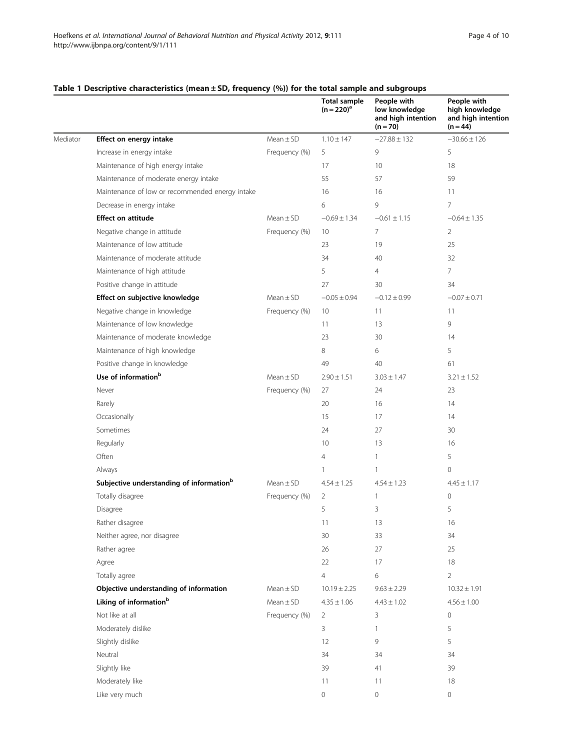|          |                                                      |               | Total sample<br>$(n = 220)^a$ | People with<br>low knowledge<br>and high intention<br>$(n = 70)$ | People with<br>high knowledge<br>and high intention<br>$(n = 44)$ |
|----------|------------------------------------------------------|---------------|-------------------------------|------------------------------------------------------------------|-------------------------------------------------------------------|
| Mediator | Effect on energy intake                              | $Mean \pm SD$ | $1.10 \pm 147$                | $-27.88 \pm 132$                                                 | $-30.66 \pm 126$                                                  |
|          | Increase in energy intake                            | Frequency (%) | 5                             | 9                                                                | 5                                                                 |
|          | Maintenance of high energy intake                    |               | 17                            | 10                                                               | 18                                                                |
|          | Maintenance of moderate energy intake                |               | 55                            | 57                                                               | 59                                                                |
|          | Maintenance of low or recommended energy intake      |               | 16                            | 16                                                               | 11                                                                |
|          | Decrease in energy intake                            |               | 6                             | 9                                                                | $\overline{7}$                                                    |
|          | <b>Effect on attitude</b>                            | $Mean \pm SD$ | $-0.69 \pm 1.34$              | $-0.61 \pm 1.15$                                                 | $-0.64 \pm 1.35$                                                  |
|          | Negative change in attitude                          | Frequency (%) | 10                            | $\overline{7}$                                                   | $\overline{2}$                                                    |
|          | Maintenance of low attitude                          |               | 23                            | 19                                                               | 25                                                                |
|          | Maintenance of moderate attitude                     |               | 34                            | 40                                                               | 32                                                                |
|          | Maintenance of high attitude                         |               | 5                             | $\overline{4}$                                                   | $\overline{7}$                                                    |
|          | Positive change in attitude                          |               | 27                            | 30                                                               | 34                                                                |
|          | Effect on subjective knowledge                       | $Mean \pm SD$ | $-0.05 \pm 0.94$              | $-0.12 \pm 0.99$                                                 | $-0.07 \pm 0.71$                                                  |
|          | Negative change in knowledge                         | Frequency (%) | 10                            | 11                                                               | 11                                                                |
|          | Maintenance of low knowledge                         |               | 11                            | 13                                                               | 9                                                                 |
|          | Maintenance of moderate knowledge                    |               | 23                            | 30                                                               | 14                                                                |
|          | Maintenance of high knowledge                        |               | 8                             | 6                                                                | 5                                                                 |
|          | Positive change in knowledge                         |               | 49                            | 40                                                               | 61                                                                |
|          | Use of information <sup>b</sup>                      | $Mean \pm SD$ | $2.90 \pm 1.51$               | $3.03 \pm 1.47$                                                  | $3.21 \pm 1.52$                                                   |
|          | Never                                                | Frequency (%) | 27                            | 24                                                               | 23                                                                |
|          | Rarely                                               |               | 20                            | 16                                                               | 14                                                                |
|          | Occasionally                                         |               | 15                            | 17                                                               | 14                                                                |
|          | Sometimes                                            |               | 24                            | 27                                                               | 30                                                                |
|          | Regularly                                            |               | 10                            | 13                                                               | 16                                                                |
|          | Often                                                |               | 4                             | 1                                                                | 5                                                                 |
|          | Always                                               |               | $\mathbf{1}$                  | 1                                                                | $\circ$                                                           |
|          | Subjective understanding of information <sup>b</sup> | $Mean \pm SD$ | $4.54 \pm 1.25$               | $4.54 \pm 1.23$                                                  | $4.45 \pm 1.17$                                                   |
|          | Totally disagree                                     | Frequency (%) | 2                             | 1                                                                | $\mathbf{0}$                                                      |
|          | Disagree                                             |               | 5                             | 3                                                                | 5                                                                 |
|          | Rather disagree                                      |               | 11                            | 13                                                               | 16                                                                |
|          | Neither agree, nor disagree                          |               | 30                            | 33                                                               | 34                                                                |
|          | Rather agree                                         |               | 26                            | 27                                                               | 25                                                                |
|          | Agree                                                |               | 22                            | 17                                                               | 18                                                                |
|          | Totally agree                                        |               | $\overline{4}$                | 6                                                                | $\overline{2}$                                                    |
|          | Objective understanding of information               | $Mean \pm SD$ | $10.19 \pm 2.25$              | $9.63 \pm 2.29$                                                  | $10.32 \pm 1.91$                                                  |
|          | Liking of information <sup>b</sup>                   | $Mean \pm SD$ | $4.35 \pm 1.06$               | $4.43 \pm 1.02$                                                  | $4.56 \pm 1.00$                                                   |
|          | Not like at all                                      | Frequency (%) | $\overline{2}$                | 3                                                                | $\circ$                                                           |
|          | Moderately dislike                                   |               | 3                             | 1                                                                | 5                                                                 |
|          | Slightly dislike                                     |               | 12                            | 9                                                                | 5                                                                 |
|          | Neutral                                              |               | 34                            | 34                                                               | 34                                                                |
|          | Slightly like                                        |               | 39                            | 41                                                               | 39                                                                |
|          | Moderately like                                      |               | 11                            | 11                                                               | 18                                                                |
|          | Like very much                                       |               | $\circ$                       | $\overline{0}$                                                   | $\overline{0}$                                                    |

# <span id="page-3-0"></span>Table 1 Descriptive characteristics (mean + SD, frequency (%)) for the total sample and subgroups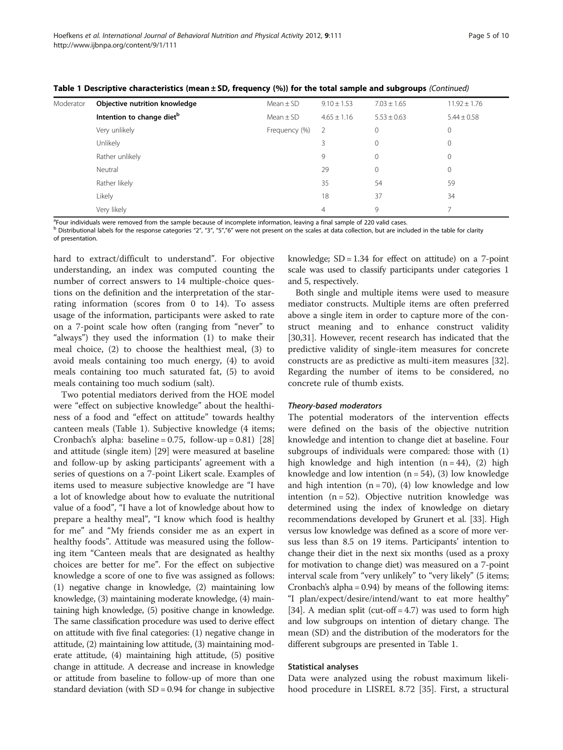| Moderator | Objective nutrition knowledge         | $Mean \pm SD$ | $9.10 \pm 1.53$ | $7.03 \pm 1.65$ | $11.92 \pm 1.76$ |
|-----------|---------------------------------------|---------------|-----------------|-----------------|------------------|
|           | Intention to change diet <sup>b</sup> | $Mean \pm SD$ | $4.65 \pm 1.16$ | $5.53 \pm 0.63$ | $5.44 \pm 0.58$  |
|           | Very unlikely                         | Frequency (%) | -2              | 0               | $\mathbf 0$      |
|           | Unlikely                              |               | 3               | 0               | $\mathbf 0$      |
|           | Rather unlikely                       |               | 9               | 0               | $\mathbf 0$      |
|           | Neutral                               |               | 29              | 0               | $\mathbf{0}$     |
|           | Rather likely                         |               | 35              | 54              | 59               |
|           | Likely                                |               | 18              | 37              | 34               |
|           | Very likely                           |               | $\overline{4}$  | 9               |                  |
|           |                                       |               |                 |                 |                  |

Table 1 Descriptive characteristics (mean ± SD, frequency (%)) for the total sample and subgroups (Continued)

<sup>a</sup>Four individuals were removed from the sample because of incomplete information, leaving a final sample of 220 valid cases.

 $b$  Distributional labels for the response categories "2", "3", "5","6" were not present on the scales at data collection, but are included in the table for clarity of presentation.

hard to extract/difficult to understand". For objective understanding, an index was computed counting the number of correct answers to 14 multiple-choice questions on the definition and the interpretation of the starrating information (scores from 0 to 14). To assess usage of the information, participants were asked to rate on a 7-point scale how often (ranging from "never" to "always") they used the information (1) to make their meal choice, (2) to choose the healthiest meal, (3) to avoid meals containing too much energy, (4) to avoid meals containing too much saturated fat, (5) to avoid meals containing too much sodium (salt).

Two potential mediators derived from the HOE model were "effect on subjective knowledge" about the healthiness of a food and "effect on attitude" towards healthy canteen meals (Table [1](#page-3-0)). Subjective knowledge (4 items; Cronbach's alpha: baseline =  $0.75$ , follow-up =  $0.81$ ) [[28](#page-8-0)] and attitude (single item) [\[29](#page-8-0)] were measured at baseline and follow-up by asking participants' agreement with a series of questions on a 7-point Likert scale. Examples of items used to measure subjective knowledge are "I have a lot of knowledge about how to evaluate the nutritional value of a food", "I have a lot of knowledge about how to prepare a healthy meal", "I know which food is healthy for me" and "My friends consider me as an expert in healthy foods". Attitude was measured using the following item "Canteen meals that are designated as healthy choices are better for me". For the effect on subjective knowledge a score of one to five was assigned as follows: (1) negative change in knowledge, (2) maintaining low knowledge, (3) maintaining moderate knowledge, (4) maintaining high knowledge, (5) positive change in knowledge. The same classification procedure was used to derive effect on attitude with five final categories: (1) negative change in attitude, (2) maintaining low attitude, (3) maintaining moderate attitude, (4) maintaining high attitude, (5) positive change in attitude. A decrease and increase in knowledge or attitude from baseline to follow-up of more than one standard deviation (with SD = 0.94 for change in subjective

knowledge;  $SD = 1.34$  for effect on attitude) on a 7-point scale was used to classify participants under categories 1 and 5, respectively.

Both single and multiple items were used to measure mediator constructs. Multiple items are often preferred above a single item in order to capture more of the construct meaning and to enhance construct validity [[30,31\]](#page-8-0). However, recent research has indicated that the predictive validity of single-item measures for concrete constructs are as predictive as multi-item measures [\[32](#page-8-0)]. Regarding the number of items to be considered, no concrete rule of thumb exists.

# Theory-based moderators

The potential moderators of the intervention effects were defined on the basis of the objective nutrition knowledge and intention to change diet at baseline. Four subgroups of individuals were compared: those with (1) high knowledge and high intention  $(n = 44)$ , (2) high knowledge and low intention  $(n = 54)$ , (3) low knowledge and high intention  $(n = 70)$ ,  $(4)$  low knowledge and low intention  $(n = 52)$ . Objective nutrition knowledge was determined using the index of knowledge on dietary recommendations developed by Grunert et al. [\[33\]](#page-8-0). High versus low knowledge was defined as a score of more versus less than 8.5 on 19 items. Participants' intention to change their diet in the next six months (used as a proxy for motivation to change diet) was measured on a 7-point interval scale from "very unlikely" to "very likely" (5 items; Cronbach's alpha = 0.94) by means of the following items: "I plan/expect/desire/intend/want to eat more healthy" [[34](#page-8-0)]. A median split (cut-off = 4.7) was used to form high and low subgroups on intention of dietary change. The mean (SD) and the distribution of the moderators for the different subgroups are presented in Table [1](#page-3-0).

# Statistical analyses

Data were analyzed using the robust maximum likelihood procedure in LISREL 8.72 [[35](#page-8-0)]. First, a structural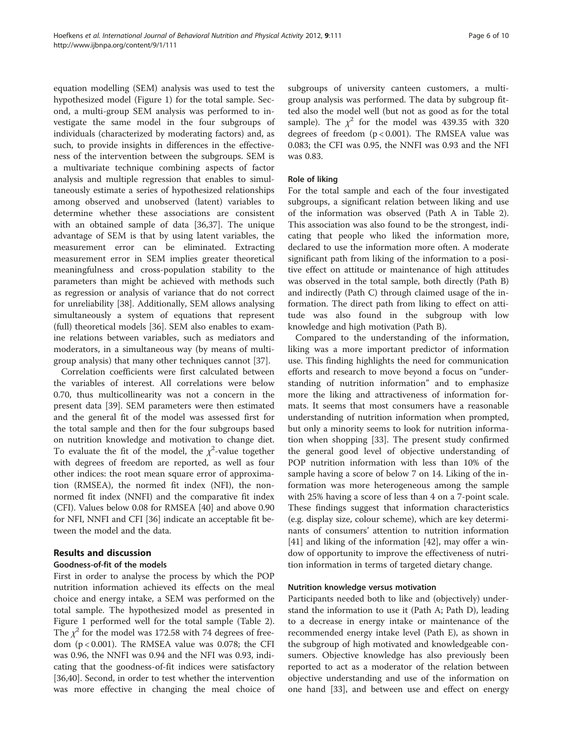equation modelling (SEM) analysis was used to test the hypothesized model (Figure [1](#page-2-0)) for the total sample. Second, a multi-group SEM analysis was performed to investigate the same model in the four subgroups of individuals (characterized by moderating factors) and, as such, to provide insights in differences in the effectiveness of the intervention between the subgroups. SEM is a multivariate technique combining aspects of factor analysis and multiple regression that enables to simultaneously estimate a series of hypothesized relationships among observed and unobserved (latent) variables to determine whether these associations are consistent with an obtained sample of data [\[36,37](#page-8-0)]. The unique advantage of SEM is that by using latent variables, the measurement error can be eliminated. Extracting measurement error in SEM implies greater theoretical meaningfulness and cross-population stability to the parameters than might be achieved with methods such as regression or analysis of variance that do not correct for unreliability [[38\]](#page-8-0). Additionally, SEM allows analysing simultaneously a system of equations that represent (full) theoretical models [[36\]](#page-8-0). SEM also enables to examine relations between variables, such as mediators and moderators, in a simultaneous way (by means of multigroup analysis) that many other techniques cannot [\[37\]](#page-8-0).

Correlation coefficients were first calculated between the variables of interest. All correlations were below 0.70, thus multicollinearity was not a concern in the present data [[39](#page-8-0)]. SEM parameters were then estimated and the general fit of the model was assessed first for the total sample and then for the four subgroups based on nutrition knowledge and motivation to change diet. To evaluate the fit of the model, the  $\chi^2$ -value together with degrees of freedom are reported, as well as four other indices: the root mean square error of approximation (RMSEA), the normed fit index (NFI), the nonnormed fit index (NNFI) and the comparative fit index (CFI). Values below 0.08 for RMSEA [\[40](#page-8-0)] and above 0.90 for NFI, NNFI and CFI [\[36](#page-8-0)] indicate an acceptable fit between the model and the data.

# Results and discussion

# Goodness-of-fit of the models

First in order to analyse the process by which the POP nutrition information achieved its effects on the meal choice and energy intake, a SEM was performed on the total sample. The hypothesized model as presented in Figure [1](#page-2-0) performed well for the total sample (Table [2](#page-6-0)). The  $\chi^2$  for the model was 172.58 with 74 degrees of freedom  $(p < 0.001)$ . The RMSEA value was 0.078; the CFI was 0.96, the NNFI was 0.94 and the NFI was 0.93, indicating that the goodness-of-fit indices were satisfactory [[36,40\]](#page-8-0). Second, in order to test whether the intervention was more effective in changing the meal choice of subgroups of university canteen customers, a multigroup analysis was performed. The data by subgroup fitted also the model well (but not as good as for the total sample). The  $\chi^2$  for the model was 439.35 with 320 degrees of freedom  $(p < 0.001)$ . The RMSEA value was 0.083; the CFI was 0.95, the NNFI was 0.93 and the NFI was 0.83.

# Role of liking

For the total sample and each of the four investigated subgroups, a significant relation between liking and use of the information was observed (Path A in Table [2](#page-6-0)). This association was also found to be the strongest, indicating that people who liked the information more, declared to use the information more often. A moderate significant path from liking of the information to a positive effect on attitude or maintenance of high attitudes was observed in the total sample, both directly (Path B) and indirectly (Path C) through claimed usage of the information. The direct path from liking to effect on attitude was also found in the subgroup with low knowledge and high motivation (Path B).

Compared to the understanding of the information, liking was a more important predictor of information use. This finding highlights the need for communication efforts and research to move beyond a focus on "understanding of nutrition information" and to emphasize more the liking and attractiveness of information formats. It seems that most consumers have a reasonable understanding of nutrition information when prompted, but only a minority seems to look for nutrition information when shopping [\[33](#page-8-0)]. The present study confirmed the general good level of objective understanding of POP nutrition information with less than 10% of the sample having a score of below 7 on 14. Liking of the information was more heterogeneous among the sample with 25% having a score of less than 4 on a 7-point scale. These findings suggest that information characteristics (e.g. display size, colour scheme), which are key determinants of consumers' attention to nutrition information [[41\]](#page-8-0) and liking of the information [\[42](#page-8-0)], may offer a window of opportunity to improve the effectiveness of nutrition information in terms of targeted dietary change.

# Nutrition knowledge versus motivation

Participants needed both to like and (objectively) understand the information to use it (Path A; Path D), leading to a decrease in energy intake or maintenance of the recommended energy intake level (Path E), as shown in the subgroup of high motivated and knowledgeable consumers. Objective knowledge has also previously been reported to act as a moderator of the relation between objective understanding and use of the information on one hand [[33\]](#page-8-0), and between use and effect on energy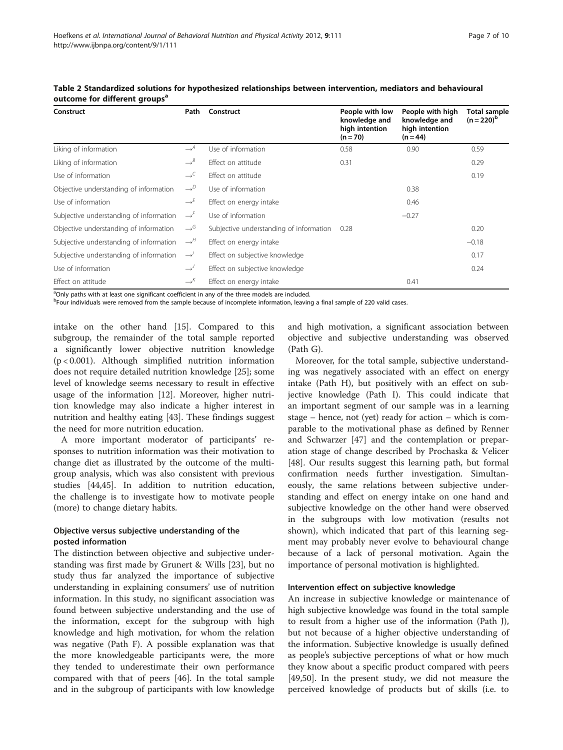| Construct                               | Path                       | Construct                               | People with low<br>knowledge and<br>high intention<br>$(n = 70)$ | People with high<br>knowledge and<br>high intention<br>$(n = 44)$ | <b>Total sample</b><br>$(n = 220)^{b}$ |
|-----------------------------------------|----------------------------|-----------------------------------------|------------------------------------------------------------------|-------------------------------------------------------------------|----------------------------------------|
| Liking of information                   | $\rightarrow^A$            | Use of information                      | 0.58                                                             | 0.90                                                              | 0.59                                   |
| Liking of information                   | $\rightarrow^B$            | Effect on attitude                      | 0.31                                                             |                                                                   | 0.29                                   |
| Use of information                      | $\rightarrow^C$            | Effect on attitude                      |                                                                  |                                                                   | 0.19                                   |
| Objective understanding of information  | $\rightarrow^D$            | Use of information                      |                                                                  | 0.38                                                              |                                        |
| Use of information                      | $\rightarrow^E$            | Effect on energy intake                 |                                                                  | 0.46                                                              |                                        |
| Subjective understanding of information | $\rightarrow^F$            | Use of information                      |                                                                  | $-0.27$                                                           |                                        |
| Objective understanding of information  | $\rightarrow$ <sup>G</sup> | Subjective understanding of information | 0.28                                                             |                                                                   | 0.20                                   |
| Subjective understanding of information | $\rightarrow^H$            | Effect on energy intake                 |                                                                  |                                                                   | $-0.18$                                |
| Subjective understanding of information | $\rightarrow'$             | Effect on subjective knowledge          |                                                                  |                                                                   | 0.17                                   |
| Use of information                      | $\rightarrow^J$            | Effect on subjective knowledge          |                                                                  |                                                                   | 0.24                                   |
| Effect on attitude                      | $\rightarrow^K$            | Effect on energy intake                 |                                                                  | 0.41                                                              |                                        |

<span id="page-6-0"></span>Table 2 Standardized solutions for hypothesized relationships between intervention, mediators and behavioural outcome for different groups<sup>a</sup>

<sup>a</sup>Only paths with at least one significant coefficient in any of the three models are included.

<sup>b</sup>Four individuals were removed from the sample because of incomplete information, leaving a final sample of 220 valid cases.

intake on the other hand [\[15](#page-8-0)]. Compared to this subgroup, the remainder of the total sample reported a significantly lower objective nutrition knowledge (p < 0.001). Although simplified nutrition information does not require detailed nutrition knowledge [[25\]](#page-8-0); some level of knowledge seems necessary to result in effective usage of the information [\[12](#page-8-0)]. Moreover, higher nutrition knowledge may also indicate a higher interest in nutrition and healthy eating [[43\]](#page-8-0). These findings suggest the need for more nutrition education.

A more important moderator of participants' responses to nutrition information was their motivation to change diet as illustrated by the outcome of the multigroup analysis, which was also consistent with previous studies [[44,45\]](#page-8-0). In addition to nutrition education, the challenge is to investigate how to motivate people (more) to change dietary habits.

# Objective versus subjective understanding of the posted information

The distinction between objective and subjective understanding was first made by Grunert & Wills [[23\]](#page-8-0), but no study thus far analyzed the importance of subjective understanding in explaining consumers' use of nutrition information. In this study, no significant association was found between subjective understanding and the use of the information, except for the subgroup with high knowledge and high motivation, for whom the relation was negative (Path F). A possible explanation was that the more knowledgeable participants were, the more they tended to underestimate their own performance compared with that of peers [[46\]](#page-8-0). In the total sample and in the subgroup of participants with low knowledge

and high motivation, a significant association between objective and subjective understanding was observed (Path G).

Moreover, for the total sample, subjective understanding was negatively associated with an effect on energy intake (Path H), but positively with an effect on subjective knowledge (Path I). This could indicate that an important segment of our sample was in a learning stage – hence, not (yet) ready for action – which is comparable to the motivational phase as defined by Renner and Schwarzer [[47\]](#page-9-0) and the contemplation or preparation stage of change described by Prochaska & Velicer [[48\]](#page-9-0). Our results suggest this learning path, but formal confirmation needs further investigation. Simultaneously, the same relations between subjective understanding and effect on energy intake on one hand and subjective knowledge on the other hand were observed in the subgroups with low motivation (results not shown), which indicated that part of this learning segment may probably never evolve to behavioural change because of a lack of personal motivation. Again the importance of personal motivation is highlighted.

# Intervention effect on subjective knowledge

An increase in subjective knowledge or maintenance of high subjective knowledge was found in the total sample to result from a higher use of the information (Path J), but not because of a higher objective understanding of the information. Subjective knowledge is usually defined as people's subjective perceptions of what or how much they know about a specific product compared with peers [[49,50\]](#page-9-0). In the present study, we did not measure the perceived knowledge of products but of skills (i.e. to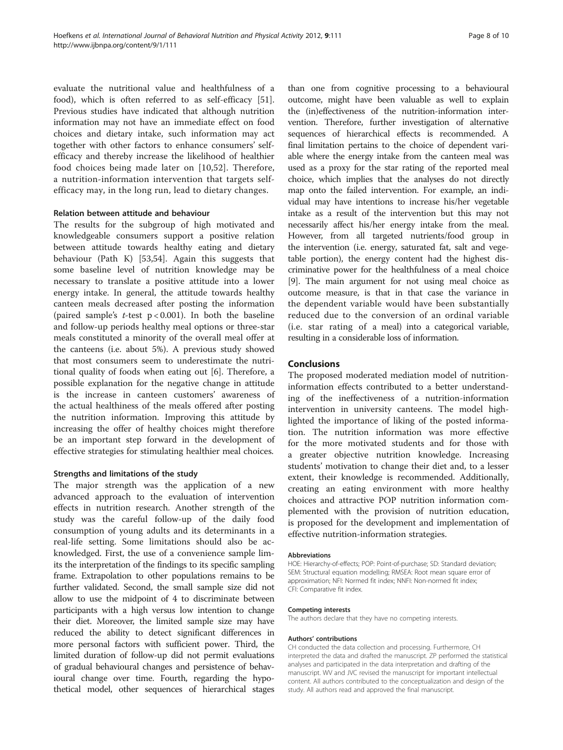evaluate the nutritional value and healthfulness of a food), which is often referred to as self-efficacy [\[51](#page-9-0)]. Previous studies have indicated that although nutrition information may not have an immediate effect on food choices and dietary intake, such information may act together with other factors to enhance consumers' selfefficacy and thereby increase the likelihood of healthier food choices being made later on [\[10,](#page-8-0)[52](#page-9-0)]. Therefore, a nutrition-information intervention that targets selfefficacy may, in the long run, lead to dietary changes.

# Relation between attitude and behaviour

The results for the subgroup of high motivated and knowledgeable consumers support a positive relation between attitude towards healthy eating and dietary behaviour (Path K) [\[53,54\]](#page-9-0). Again this suggests that some baseline level of nutrition knowledge may be necessary to translate a positive attitude into a lower energy intake. In general, the attitude towards healthy canteen meals decreased after posting the information (paired sample's *t*-test  $p < 0.001$ ). In both the baseline and follow-up periods healthy meal options or three-star meals constituted a minority of the overall meal offer at the canteens (i.e. about 5%). A previous study showed that most consumers seem to underestimate the nutritional quality of foods when eating out [\[6](#page-8-0)]. Therefore, a possible explanation for the negative change in attitude is the increase in canteen customers' awareness of the actual healthiness of the meals offered after posting the nutrition information. Improving this attitude by increasing the offer of healthy choices might therefore be an important step forward in the development of effective strategies for stimulating healthier meal choices.

# Strengths and limitations of the study

The major strength was the application of a new advanced approach to the evaluation of intervention effects in nutrition research. Another strength of the study was the careful follow-up of the daily food consumption of young adults and its determinants in a real-life setting. Some limitations should also be acknowledged. First, the use of a convenience sample limits the interpretation of the findings to its specific sampling frame. Extrapolation to other populations remains to be further validated. Second, the small sample size did not allow to use the midpoint of 4 to discriminate between participants with a high versus low intention to change their diet. Moreover, the limited sample size may have reduced the ability to detect significant differences in more personal factors with sufficient power. Third, the limited duration of follow-up did not permit evaluations of gradual behavioural changes and persistence of behavioural change over time. Fourth, regarding the hypothetical model, other sequences of hierarchical stages

than one from cognitive processing to a behavioural outcome, might have been valuable as well to explain the (in)effectiveness of the nutrition-information intervention. Therefore, further investigation of alternative sequences of hierarchical effects is recommended. A final limitation pertains to the choice of dependent variable where the energy intake from the canteen meal was used as a proxy for the star rating of the reported meal choice, which implies that the analyses do not directly map onto the failed intervention. For example, an individual may have intentions to increase his/her vegetable intake as a result of the intervention but this may not necessarily affect his/her energy intake from the meal. However, from all targeted nutrients/food group in the intervention (i.e. energy, saturated fat, salt and vegetable portion), the energy content had the highest discriminative power for the healthfulness of a meal choice [[9](#page-8-0)]. The main argument for not using meal choice as outcome measure, is that in that case the variance in the dependent variable would have been substantially reduced due to the conversion of an ordinal variable (i.e. star rating of a meal) into a categorical variable, resulting in a considerable loss of information.

# Conclusions

The proposed moderated mediation model of nutritioninformation effects contributed to a better understanding of the ineffectiveness of a nutrition-information intervention in university canteens. The model highlighted the importance of liking of the posted information. The nutrition information was more effective for the more motivated students and for those with a greater objective nutrition knowledge. Increasing students' motivation to change their diet and, to a lesser extent, their knowledge is recommended. Additionally, creating an eating environment with more healthy choices and attractive POP nutrition information complemented with the provision of nutrition education, is proposed for the development and implementation of effective nutrition-information strategies.

#### Abbreviations

HOE: Hierarchy-of-effects; POP: Point-of-purchase; SD: Standard deviation; SEM: Structural equation modelling; RMSEA: Root mean square error of approximation; NFI: Normed fit index; NNFI: Non-normed fit index; CFI: Comparative fit index.

### Competing interests

The authors declare that they have no competing interests.

#### Authors' contributions

CH conducted the data collection and processing. Furthermore, CH interpreted the data and drafted the manuscript. ZP performed the statistical analyses and participated in the data interpretation and drafting of the manuscript. WV and JVC revised the manuscript for important intellectual content. All authors contributed to the conceptualization and design of the study. All authors read and approved the final manuscript.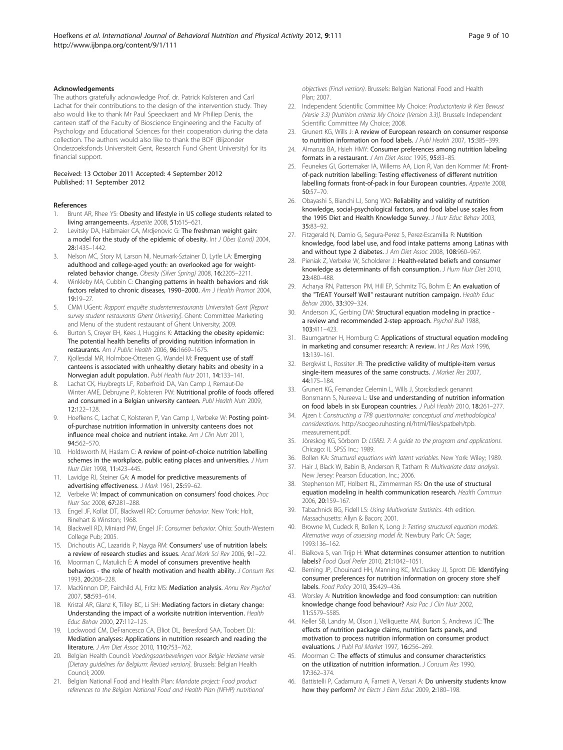#### <span id="page-8-0"></span>Acknowledgements

The authors gratefully acknowledge Prof. dr. Patrick Kolsteren and Carl Lachat for their contributions to the design of the intervention study. They also would like to thank Mr Paul Speeckaert and Mr Philiep Denis, the canteen staff of the Faculty of Bioscience Engineering and the Faculty of Psychology and Educational Sciences for their cooperation during the data collection. The authors would also like to thank the BOF (Bijzonder Onderzoeksfonds Universiteit Gent, Research Fund Ghent University) for its financial support.

#### Received: 13 October 2011 Accepted: 4 September 2012 Published: 11 September 2012

#### References

- 1. Brunt AR, Rhee YS: Obesity and lifestyle in US college students related to living arrangemeents. Appetite 2008, 51:615–621.
- 2. Levitsky DA, Halbmaier CA, Mrdienovic G: The freshman weight gain: a model for the study of the epidemic of obesity. Int J Obes (Lond) 2004, 28:1435–1442.
- 3. Nelson MC, Story M, Larson NI, Neumark-Sztainer D, Lytle LA: Emerging adulthood and college-aged youth: an overlooked age for weightrelated behavior change. Obesity (Silver Spring) 2008, 16:2205–2211.
- 4. Winkleby MA, Cubbin C: Changing patterns in health behaviors and risk factors related to chronic diseases, 1990–2000. Am J Health Promot 2004, 19:19–27.
- 5. CMM UGent: Rapport enquête studentenrestaurants Universiteit Gent [Report survey student restaurants Ghent University]. Ghent: Committee Marketing and Menu of the student restaurant of Ghent University; 2009.
- 6. Burton S, Creyer EH, Kees J, Huggins K: Attacking the obesity epidemic: The potential health benefits of providing nutrition information in restaurants. Am J Public Health 2006, 96:1669–1675.
- 7. Kiollesdal MR, Holmboe-Ottesen G, Wandel M: Frequent use of staff canteens is associated with unhealthy dietary habits and obesity in a Norwegian adult population. Publ Health Nutr 2011, 14:133–141.
- 8. Lachat CK, Huybregts LF, Roberfroid DA, Van Camp J, Remaut-De Winter AME, Debruyne P, Kolsteren PW: Nutritional profile of foods offered and consumed in a Belgian university canteen. Publ Health Nutr 2009, 12:122–128.
- Hoefkens C, Lachat C, Kolsteren P, Van Camp J, Verbeke W: Posting pointof-purchase nutrition information in university canteens does not influence meal choice and nutrient intake. Am J Clin Nutr 2011, 94:562–570.
- 10. Holdsworth M, Haslam C: A review of point-of-choice nutrition labelling schemes in the workplace, public eating places and universities. J Hum Nutr Diet 1998, 11:423–445.
- 11. Lavidge RJ, Steiner GA: A model for predictive measurements of advertising effectiveness. J Mark 1961, 25:59–62.
- 12. Verbeke W: Impact of communication on consumers' food choices. Proc Nutr Soc 2008, 67:281–288.
- 13. Engel JF, Kollat DT, Blackwell RD: Consumer behavior. New York: Holt, Rinehart & Winston; 1968.
- 14. Blackwell RD, Miniard PW, Engel JF: Consumer behavior. Ohio: South-Western College Pub; 2005.
- 15. Drichoutis AC, Lazaridis P, Nayga RM: Consumers' use of nutrition labels: a review of research studies and issues. Acad Mark Sci Rev 2006, 9:1-22.
- 16. Moorman C, Matulich E: A model of consumers preventive health behaviors - the role of health motivation and health ability. J Consum Res 1993, 20:208–228.
- 17. MacKinnon DP, Fairchild AJ, Fritz MS: Mediation analysis. Annu Rev Psychol 2007, 58:593–614.
- 18. Kristal AR, Glanz K, Tilley BC, Li SH: Mediating factors in dietary change: Understanding the impact of a worksite nutrition intervention. Health Educ Behav 2000, 27:112–125.
- 19. Lockwood CM, DeFrancesco CA, Elliot DL, Beresford SAA, Toobert DJ: Mediation analyses: Applications in nutrition research and reading the literature. J Am Diet Assoc 2010, 110:753–762.
- 20. Belgian Health Council: Voedingsaanbevelingen voor Belgie: Herziene versie [Dietary guidelines for Belgium: Revised version]. Brussels: Belgian Health Council; 2009.
- 21. Belgian National Food and Health Plan: Mandate project: Food product references to the Belgian National Food and Health Plan (NFHP) nutritional

objectives (Final version). Brussels: Belgian National Food and Health Plan; 2007.

- 22. Independent Scientific Committee My Choice: Productcriteria Ik Kies Bewust (Versie 3.3) [Nutrition criteria My Choice (Version 3.3)]. Brussels: Independent Scientific Committee My Choice: 2008.
- 23. Grunert KG, Wills J: A review of European research on consumer response to nutrition information on food labels. J Publ Health 2007, 15:385–399.
- 24. Almanza BA, Hsieh HMY: Consumer preferences among nutrition labeling formats in a restaurant. J Am Diet Assoc 1995, 95:83–85.
- 25. Feunekes GI, Gortemaker IA, Willems AA, Lion R, Van den Kommer M: Frontof-pack nutrition labelling: Testing effectiveness of different nutrition labelling formats front-of-pack in four European countries. Appetite 2008, 50:57–70.
- 26. Obayashi S, Bianchi LJ, Song WO: Reliability and validity of nutrition knowledge, social-psychological factors, and food label use scales from the 1995 Diet and Health Knowledge Survey. J Nutr Educ Behav 2003, 35:83–92.
- 27. Fitzgerald N, Damio G, Segura-Perez S, Perez-Escamilla R: Nutrition knowledge, food label use, and food intake patterns among Latinas with and without type 2 diabetes. J Am Diet Assoc 2008, 108:960-967.
- 28. Pieniak Z, Verbeke W, Scholderer J: Health-related beliefs and consumer knowledge as determinants of fish consumption. J Hum Nutr Diet 2010, 23:480–488.
- 29. Acharya RN, Patterson PM, Hill EP, Schmitz TG, Bohm E: An evaluation of the "TrEAT Yourself Well" restaurant nutrition campaign. Health Educ Behav 2006, 33:309–324.
- 30. Anderson JC, Gerbing DW: Structural equation modeling in practice a review and recommended 2-step approach. Psychol Bull 1988, 103:411–423.
- 31. Baumgartner H, Homburg C: Applications of structural equation modeling in marketing and consumer research: A review. Int J Res Mark 1996, 13:139–161.
- 32. Bergkvist L, Rossiter JR: The predictive validity of multiple-item versus single-item measures of the same constructs. J Market Res 2007, 44:175–184.
- 33. Grunert KG, Fernandez Celemin L, Wills J, Storcksdieck genannt Bonsmann S, Nureeva L: Use and understanding of nutrition information on food labels in six European countries. J Publ Health 2010, 18:261–277.
- 34. Ajzen I: Constructing a TPB questionnaire: conceptual and methodological considerations. http://socgeo.ruhosting.nl/html/files/spatbeh/tpb. measurement.pdf.
- 35. Jöreskog KG, Sörbom D: LISREL 7: A guide to the program and applications. Chicago: IL SPSS Inc.; 1989.
- 36. Bollen KA: Structural equations with latent variables. New York: Wiley; 1989.
- 37. Hair J, Black W, Babin B, Anderson R, Tatham R: Multivariate data analysis. New Jersey: Pearson Education, Inc.; 2006.
- 38. Stephenson MT, Holbert RL, Zimmerman RS: On the use of structural equation modeling in health communication research. Health Commun 2006, 20:159–167.
- 39. Tabachnick BG, Fidell LS: Using Multivariate Statistics. 4th edition. Massachusetts: Allyn & Bacon; 2001.
- 40. Browne M, Cudeck R, Bollen K, Long J: Testing structural equation models. Alternative ways of assessing model fit. Newbury Park: CA: Sage; 1993:136–162.
- 41. Bialkova S, van Trijp H: What determines consumer attention to nutrition labels? Food Qual Prefer 2010, 21:1042–1051.
- 42. Berning JP, Chouinard HH, Manning KC, McCluskey JJ, Sprott DE: Identifying consumer preferences for nutrition information on grocery store shelf labels. Food Policy 2010, 35:429–436.
- 43. Worsley A: Nutrition knowledge and food consumption: can nutrition knowledge change food behaviour? Asia Pac J Clin Nutr 2002, 11:S579–S585.
- 44. Keller SB, Landry M, Olson J, Velliquette AM, Burton S, Andrews JC: The effects of nutrition package claims, nutrition facts panels, and motivation to process nutrition information on consumer product evaluations. J Publ Pol Market 1997, 16:256–269.
- 45. Moorman C: The effects of stimulus and consumer characteristics on the utilization of nutrition information. J Consum Res 1990, 17:362–374.
- 46. Battistelli P, Cadamuro A, Farneti A, Versari A: Do university students know how they perform? Int Electr J Elem Educ 2009, 2:180-198.